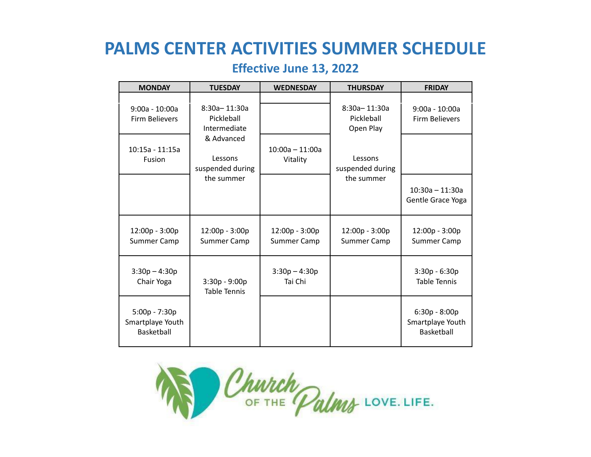# **PALMS CENTER ACTIVITIES SUMMER SCHEDULE**

# **Effective June 13, 2022**

| <b>MONDAY</b>                                   | <b>TUESDAY</b>                             | <b>WEDNESDAY</b>              | <b>THURSDAY</b>                         | <b>FRIDAY</b>                                     |
|-------------------------------------------------|--------------------------------------------|-------------------------------|-----------------------------------------|---------------------------------------------------|
| $9:00a - 10:00a$<br>Firm Believers              | 8:30a-11:30a<br>Pickleball<br>Intermediate |                               | 8:30a-11:30a<br>Pickleball<br>Open Play | $9:00a - 10:00a$<br>Firm Believers                |
| $10:15a - 11:15a$<br><b>Fusion</b>              | & Advanced<br>Lessons<br>suspended during  | $10:00a - 11:00a$<br>Vitality | Lessons<br>suspended during             |                                                   |
|                                                 | the summer                                 |                               | the summer                              | $10:30a - 11:30a$<br>Gentle Grace Yoga            |
| 12:00p - 3:00p<br>Summer Camp                   | 12:00p - 3:00p<br>Summer Camp              | 12:00p - 3:00p<br>Summer Camp | 12:00p - 3:00p<br>Summer Camp           | 12:00p - 3:00p<br>Summer Camp                     |
| $3:30p - 4:30p$<br>Chair Yoga                   | $3:30p - 9:00p$<br><b>Table Tennis</b>     | $3:30p - 4:30p$<br>Tai Chi    |                                         | $3:30p - 6:30p$<br><b>Table Tennis</b>            |
| 5:00p - 7:30p<br>Smartplaye Youth<br>Basketball |                                            |                               |                                         | $6:30p - 8:00p$<br>Smartplaye Youth<br>Basketball |